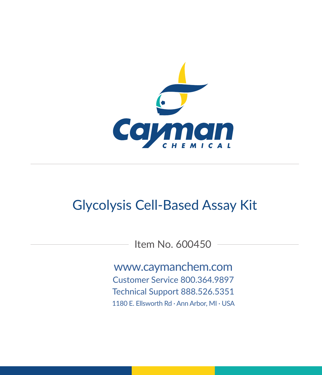

# Glycolysis Cell-Based Assay Kit

Item No. 600450

www.caymanchem.com Customer Service 800.364.9897 Technical Support 888.526.5351 1180 E. Ellsworth Rd · Ann Arbor, MI · USA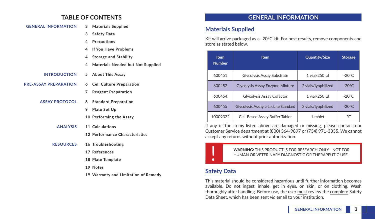## **TABLE OF CONTENTS**

| <b>GENERAL INFORMATION</b>   | 3 | <b>Materials Supplied</b>                |
|------------------------------|---|------------------------------------------|
|                              | 3 | <b>Safety Data</b>                       |
|                              | 4 | Precautions                              |
|                              | 4 | If You Have Problems                     |
|                              | 4 | <b>Storage and Stability</b>             |
|                              | 4 | <b>Materials Needed but Not Supplied</b> |
| <b>INTRODUCTION</b>          | 5 | <b>About This Assay</b>                  |
| <b>PRE-ASSAY PREPARATION</b> | 6 | <b>Cell Culture Preparation</b>          |
|                              | 7 | <b>Reagent Preparation</b>               |
| <b>ASSAY PROTOCOL</b>        | 8 | <b>Standard Preparation</b>              |
|                              | 9 | Plate Set Up                             |
|                              |   | 10 Performing the Assay                  |
| <b>ANALYSIS</b>              |   | 11 Calculations                          |
|                              |   | 12 Performance Characteristics           |
| <b>RESOURCES</b>             |   | 16 Troubleshooting                       |
|                              |   | 17 References                            |
|                              |   | 18 Plate Template                        |
|                              |   | 19 Notes                                 |
|                              |   | 19 Warranty and Limitation of Remedy     |

## **GENERAL INFORMATION**

## **Materials Supplied**

Kit will arrive packaged as a -20°C kit. For best results, remove components and store as stated below.

| <b>Item</b><br><b>Number</b> | <b>Item</b>                            | Quantity/Size       | Storage          |
|------------------------------|----------------------------------------|---------------------|------------------|
| 600451                       | Glycolysis Assay Substrate             | 1 vial/250 µl       | $-20^{\circ}$ C. |
| 600452                       | <b>Glycolysis Assay Enzyme Mixture</b> | 2 vials/lyophilized | $-20^{\circ}$ C. |
| 600454                       | Glycolysis Assay Cofactor              | 1 vial/250 µl       | $-20^{\circ}$ C. |
| 600455                       | Glycolysis Assay L-Lactate Standard    | 2 vials/lyophilized | $-20^{\circ}$ C  |
| 10009322                     | Cell-Based Assay Buffer Tablet         | 1 tablet            | <b>RT</b>        |

If any of the items listed above are damaged or missing, please contact our Customer Service department at (800) 364-9897 or (734) 971-3335. We cannot accept any returns without prior authorization.



! **WARNING:** THIS PRODUCT IS FOR RESEARCH ONLY - NOT FOR HUMAN OR VETERINARY DIAGNOSTIC OR THERAPEUTIC USE.

## **Safety Data**

This material should be considered hazardous until further information becomes available. Do not ingest, inhale, get in eyes, on skin, or on clothing. Wash thoroughly after handling. Before use, the user must review the complete Safety Data Sheet, which has been sent *via* email to your institution.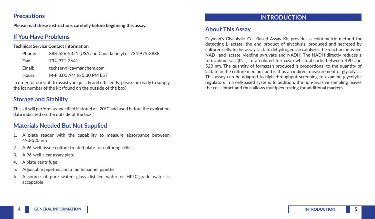### **Precautions**

**Please read these instructions carefully before beginning this assay.**

## **If You Have Problems**

#### **Technical Service Contact Information**

| Phone: | 888-526-5351 (USA and Canada only) or 734-975-3888 |
|--------|----------------------------------------------------|
| Fax:   | 734-971-3641                                       |
| Email: | techserv@caymanchem.com                            |
| Hours: | M-F 8:00 AM to 5:30 PM EST                         |

In order for our staff to assist you quickly and efficiently, please be ready to supply the lot number of the kit (found on the outside of the box).

## **Storage and Stability**

This kit will perform as specified if stored at -20°C and used before the expiration date indicated on the outside of the box.

## **Materials Needed But Not Supplied**

- 1. A plate reader with the capability to measure absorbance between 490-520 nm
- 2. A 96-well tissue culture treated plate for culturing cells
- 3. A 96-well clear assay plate
- 4. A plate centrifuge
- 5. Adjustable pipettes and a multichannel pipette
- 6. A source of pure water; glass distilled water or HPLC-grade water is acceptable

## **INTRODUCTION**

## **About This Assay**

Cayman's Glycolysis Cell-Based Assay Kit provides a colorimetric method for detecting L-lactate, the end product of glycolysis, produced and secreted by cultured cells. In this assay, lactate dehydrogenase catalyzes the reaction between NAD<sup>+</sup> and lactate, yielding pyruvate and NADH. The NADH directly reduces a tetrazolium salt (INT) to a colored formazan which absorbs between 490 and 520 nm. The quantity of formazan produced is proportional to the quantity of lactate in the culture medium, and is thus an indirect measurement of glycolysis. This assay can be adapted to high-throughput screening to examine glycolytic regulators in a cell-based system. In addition, the non-invasive sampling leaves the cells intact and thus allows multiplex testing for additional markers.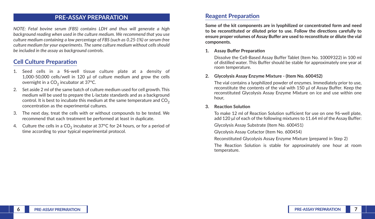### **PRE-ASSAY PREPARATION**

*NOTE: Fetal bovine serum (FBS) contains LDH and thus will generate a high background reading when used in the culture medium. We recommend that you use culture medium containing a low percentage of FBS (such as 0.25-1%) or serum-free culture medium for your experiments. The same culture medium without cells should be included in the assay as background controls.*

## **Cell Culture Preparation**

- 1. Seed cells in a 96-well tissue culture plate at a density of 1,000-50,000 cells/well in 120 µl of culture medium and grow the cells overnight in a  $CO<sub>2</sub>$  incubator at 37 $°C$ .
- 2. Set aside 2 ml of the same batch of culture medium used for cell growth. This medium will be used to prepare the L-lactate standards and as a background control. It is best to incubate this medium at the same temperature and  $CO<sub>2</sub>$ concentration as the experimental cultures.
- 3. The next day, treat the cells with or without compounds to be tested. We recommend that each treatment be performed at least in duplicate.
- 4. Culture the cells in a  $CO<sub>2</sub>$  incubator at 37°C for 24 hours, or for a period of time according to your typical experimental protocol.

## **Reagent Preparation**

**Some of the kit components are in lyophilized or concentrated form and need to be reconstituted or diluted prior to use. Follow the directions carefully to ensure proper volumes of Assay Buffer are used to reconstitute or dilute the vial components.** 

#### **1. Assay Buffer Preparation**

Dissolve the Cell-Based Assay Buffer Tablet (Item No. 10009322) in 100 ml of distilled water. This Buffer should be stable for approximately one year at room temperature.

#### **2. Glycolysis Assay Enzyme Mixture - (Item No. 600452)**

The vial contains a lyophilized powder of enzymes. Immediately prior to use, reconstitute the contents of the vial with 150 µl of Assay Buffer. Keep the reconstituted Glycolysis Assay Enzyme Mixture on ice and use within one hour,

#### **3. Reaction Solution**

To make 12 ml of Reaction Solution sufficient for use on one 96-well plate, add 120 µl of each of the following mixtures to 11.64 ml of the Assay Buffer:

Glycolysis Assay Substrate (Item No. 600451)

Glycolysis Assay Cofactor (Item No. 600454)

Reconstituted Glycolysis Assay Enzyme Mixture (prepared in Step 2)

The Reaction Solution is stable for approximately one hour at room temperature.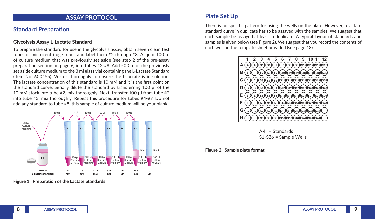### **ASSAY PROTOCOL**

## **Standard Preparation**

#### **Glycolysis Assay L-Lactate Standard**

To prepare the standard for use in the glycolysis assay, obtain seven clean test tubes or microcentrifuge tubes and label them #2 through #8. Aliquot 100 µl of culture medium that was previously set aside (see step 2 of the pre-assay preparation section on page 6) into tubes #2-#8. Add 500 µl of the previously set aside culture medium to the 3 ml glass vial containing the L-Lactate Standard (Item No. 600455). Vortex thoroughly to ensure the L-lactate is in solution. The lactate concentration of this standard is 10 mM and it is the first point on the standard curve. Serially dilute the standard by transferring 100 µl of the 10 mM stock into tube #2, mix thoroughly. Next, transfer 100 µl from tube #2 into tube #3, mix thoroughly. Repeat this procedure for tubes #4-#7. Do not add any standard to tube #8, this sample of culture medium will be your blank.



**Figure 1. Preparation of the Lactate Standards**

## **Plate Set Up**

There is no specific pattern for using the wells on the plate. However, a lactate standard curve in duplicate has to be assayed with the samples. We suggest that each sample be assayed at least in duplicate. A typical layout of standards and samples is given below (see Figure 2). We suggest that you record the contents of each well on the template sheet provided (see page 18).



A-H = Standards S1-S26 = Sample Wells

#### **Figure 2. Sample plate format**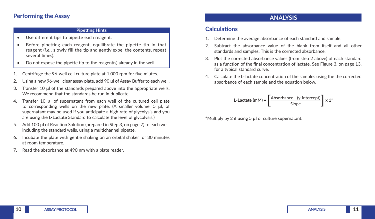### **Performing the Assay**

#### **Pipetting Hints**

- Use different tips to pipette each reagent.
- Before pipetting each reagent, equilibrate the pipette tip in that reagent (*i.e.*, slowly fill the tip and gently expel the contents, repeat several times).
- Do not expose the pipette tip to the reagent(s) already in the well.
- 1. Centrifuge the 96-well cell culture plate at 1,000 rpm for five miutes.
- 2. Using a new 96-well clear assay plate, add 90 μl of Assay Buffer to each well.
- 3. Transfer 10 μl of the standards prepared above into the appropriate wells. We recommend that the standards be run in duplicate.
- 4. Transfer 10 µl of supernatant from each well of the cultured cell plate to corresponding wells on the new plate. (A smaller volume, 5 µl, of supernatant may be used if you anticipate a high rate of glycolysis and you are using the L-Lactate Standard to calculate the level of glycolysis.)
- 5. Add 100 µl of Reaction Solution (prepared in Step 3, on page 7) to each well, including the standard wells, using a multichannel pipette.
- 6. Incubate the plate with gentle shaking on an orbital shaker for 30 minutes at room temperature.
- 7. Read the absorbance at 490 nm with a plate reader.

### **ANALYSIS**

### **Calculations**

- Determine the average absorbance of each standard and sample.
- 2. Subtract the absorbance value of the blank from itself and all other standards and samples. This is the corrected absorbance.
- 3. Plot the corrected absorbance values (from step 2 above) of each standard as a function of the final concentration of lactate. See Figure 3, on page 13, for a typical standard curve.
- 4. Calculate the L-lactate concentration of the samples using the the corrected absorbance of each sample and the equation below.

L-Lactate (mM) = 
$$
\left[\frac{\text{Absorbance - (y-intercept)}}{\text{Slope}}\right] \times 1^*
$$

\*Multiply by 2 if using 5 µl of culture supernatant.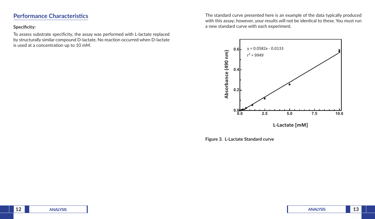## **Performance Characteristics**

#### **Specificity:**

To assess substrate specificity, the assay was performed with L-lactate replaced by structurally similar compound D-lactate. No reaction occurred when D-lactate is used at a concentration up to 10 mM.

The standard curve presented here is an example of the data typically produced with this assay; however, your results will not be identical to these. You must run a new standard curve with each experiment.



**Figure 3. L-Lactate Standard curve**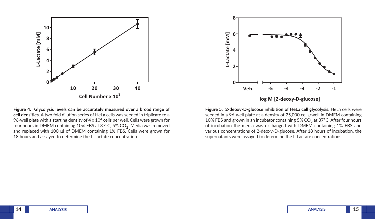

**Figure 4. Glycolysis levels can be accurately measured over a broad range of cell densities.** A two fold dilution series of HeLa cells was seeded in triplicate to a 96-well plate with a starting density of  $4 \times 10^4$  cells per well. Cells were grown for four hours in DMEM containing 10% FBS at 37°C, 5%  $CO<sub>2</sub>$ . Media was removed and replaced with 100 µl of DMEM containing 1% FBS. Cells were grown for 18 hours and assayed to determine the L-Lactate concentration.



**Figure 5. 2-deoxy-D-glucose inhibition of HeLa cell glycolysis.** HeLa cells were seeded in a 96-well plate at a density of 25,000 cells/well in DMEM containing 10% FBS and grown in an incubator containing 5%  $CO<sub>2</sub>$  at 37°C. After four hours of incubation the media was exchanged with DMEM containing 1% FBS and various concentrations of 2-deoxy-D-glucose. After 18 hours of incubation, the supernatants were assayed to determine the L-Lactate concentrations.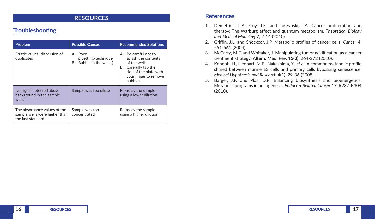## **RESOURCES**

## **Troubleshooting**

| <b>Problem</b>                                                                     | <b>Possible Causes</b>                                     | <b>Recommended Solutions</b>                                                                                                                             |  |
|------------------------------------------------------------------------------------|------------------------------------------------------------|----------------------------------------------------------------------------------------------------------------------------------------------------------|--|
| Erratic values; dispersion of<br>duplicates                                        | A. Poor<br>pipetting/technique<br>B. Bubble in the well(s) | A. Be careful not to<br>splash the contents<br>of the wells<br>B. Carefully tap the<br>side of the plate with<br>your finger to remove<br><b>bubbles</b> |  |
| No signal detected above<br>background in the sample<br>wells                      | Sample was too dilute                                      | Re-assay the sample<br>using a lower dilution                                                                                                            |  |
| The absorbance values of the<br>sample wells were higher than<br>the last standard | Sample was too<br>concentrated                             | Re-assay the sample<br>using a higher dilution                                                                                                           |  |

## **References**

- 1. Demetrius, L.A., Coy, J.F., and Tuszynski, J.A. Cancer proliferation and therapy: The Warburg effect and quantum metabolism. *Theoretical Biology and Medical Modeling* **7**, 2-14 (2010).
- 2. Griffin, J.L. and Shockcor, J.P. Metabolic profiles of cancer cells. *Cancer* **4**, 551-561 (2004).
- 3. McCarty, M.F. and Whitaker, J. Manipulating tumor acidification as a cancer treatment strategy. **Altern. Med. Rev. 15(3)**, 264-272 (2010).
- 4. Kondoh, H., Lleonart, M.E., Nakashima, Y., *et al.* A common metabolic profile shared between murine ES cells and primary cells bypassing senescence. *Medical Hypothesis and Research* **4(1)**, 29-36 (2008).
- 5. Barger, J.F. and Plas, D.R. Balancing biosynthesis and bioenergetics: Metabolic programs in oncogenesis. *Endocrin-Related Cancer* **17**, R287-R304 (2010).